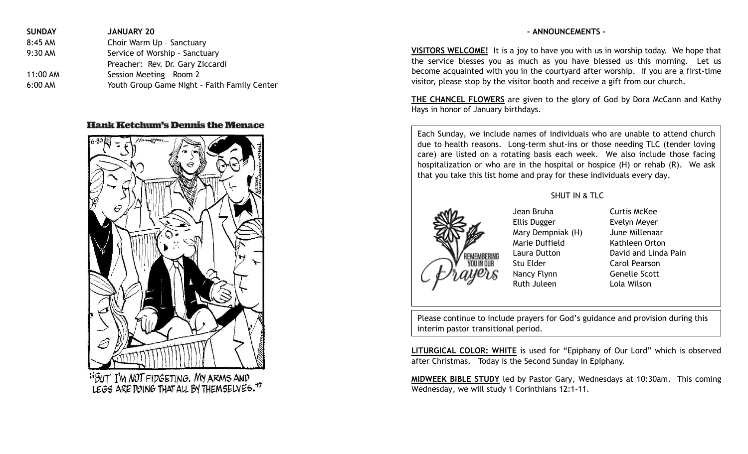| <b>SUNDAY</b> | <b>JANUARY 20</b>                            |
|---------------|----------------------------------------------|
| 8:45 AM       | Choir Warm Up - Sanctuary                    |
| 9:30 AM       | Service of Worship - Sanctuary               |
|               | Preacher: Rev. Dr. Gary Ziccardi             |
| 11:00 AM      | Session Meeting - Room 2                     |
| $6:00$ AM     | Youth Group Game Night - Faith Family Center |

## **Hank Ketchum's Dennis the Menace**



**VISITORS WELCOME!** It is a joy to have you with us in worship today. We hope that the service blesses you as much as you have blessed us this morning. Let us become acquainted with you in the courtyard after worship. If you are a first-time visitor, please stop by the visitor booth and receive a gift from our church.

**- ANNOUNCEMENTS -**

**THE CHANCEL FLOWERS** are given to the glory of God by Dora McCann and Kathy Hays in honor of January birthdays.

Each Sunday, we include names of individuals who are unable to attend church due to health reasons. Long-term shut-ins or those needing TLC (tender loving care) are listed on a rotating basis each week. We also include those facing hospitalization or who are in the hospital or hospice (H) or rehab (R). We ask that you take this list home and pray for these individuals every day.

SHUT IN & TLC



Jean Bruha Curtis McKee Ellis Dugger Evelyn Meyer Mary Dempniak (H) June Millenaar Marie Duffield Kathleen Orton Laura Dutton David and Linda Pain Stu Elder Carol Pearson Nancy Flynn Genelle Scott Ruth Juleen Lola Wilson

Please continue to include prayers for God's guidance and provision during this interim pastor transitional period.

**LITURGICAL COLOR: WHITE** is used for "Epiphany of Our Lord" which is observed after Christmas. Today is the Second Sunday in Epiphany.

**MIDWEEK BIBLE STUDY** led by Pastor Gary, Wednesdays at 10:30am. This coming Wednesday, we will study 1 Corinthians 12:1-11.